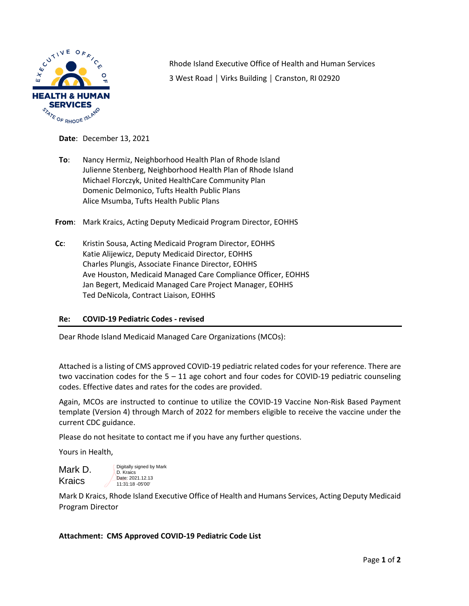

Rhode Island Executive Office of Health and Human Services 3 West Road │ Virks Building │ Cranston, RI 02920

**Date**: December 13, 2021

**To**: Nancy Hermiz, Neighborhood Health Plan of Rhode Island Julienne Stenberg, Neighborhood Health Plan of Rhode Island Michael Florczyk, United HealthCare Community Plan Domenic Delmonico, Tufts Health Public Plans Alice Msumba, Tufts Health Public Plans

**From**: Mark Kraics, Acting Deputy Medicaid Program Director, EOHHS

**Cc**: Kristin Sousa, Acting Medicaid Program Director, EOHHS Katie Alijewicz, Deputy Medicaid Director, EOHHS Charles Plungis, Associate Finance Director, EOHHS Ave Houston, Medicaid Managed Care Compliance Officer, EOHHS Jan Begert, Medicaid Managed Care Project Manager, EOHHS Ted DeNicola, Contract Liaison, EOHHS

## **Re: COVID-19 Pediatric Codes - revised**

Dear Rhode Island Medicaid Managed Care Organizations (MCOs):

Attached is a listing of CMS approved COVID-19 pediatric related codes for your reference. There are two vaccination codes for the  $5 - 11$  age cohort and four codes for COVID-19 pediatric counseling codes. Effective dates and rates for the codes are provided.

Again, MCOs are instructed to continue to utilize the COVID-19 Vaccine Non-Risk Based Payment template (Version 4) through March of 2022 for members eligible to receive the vaccine under the current CDC guidance.

Please do not hesitate to contact me if you have any further questions.

Yours in Health,

| Mark D. | Digitally signed by Mark<br>D. Kraics |
|---------|---------------------------------------|
| Kraics  | Date: 2021.12.13<br>11:31:18 - 05'00' |

Mark D Kraics, Rhode Island Executive Office of Health and Humans Services, Acting Deputy Medicaid Program Director

## **Attachment: CMS Approved COVID-19 Pediatric Code List**